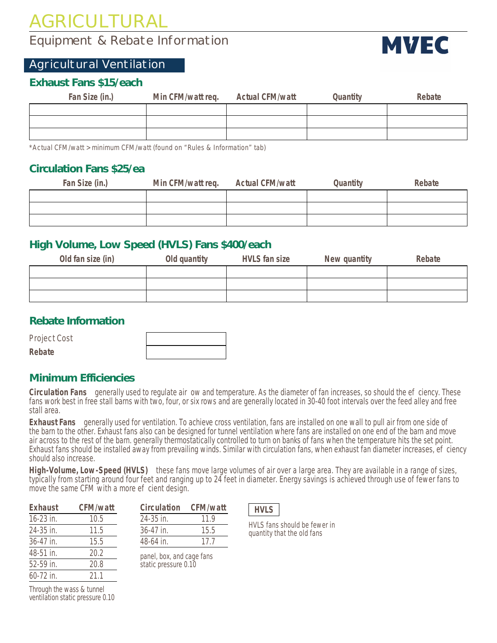# AGRICULTURAL

# Equipment & Rebate Information

# Agricultural Ventilation

# **Exhaust Fans \$15/each**

| Fan Size (in.) | Min CFM/watt req. | Actual CFM/watt | Quantity | Rebate |
|----------------|-------------------|-----------------|----------|--------|
|                |                   |                 |          |        |
|                |                   |                 |          |        |
|                |                   |                 |          |        |

\*Actual CFM/watt > minimum CFM/watt (found on "Rules & Information" tab)

## **Circulation Fans \$25/ea**

| Fan Size (in.) | Min CFM/watt req. | <b>Actual CFM/watt</b> | Quantity | Rebate |
|----------------|-------------------|------------------------|----------|--------|
|                |                   |                        |          |        |
|                |                   |                        |          |        |
|                |                   |                        |          |        |

# **High Volume, Low Speed (HVLS) Fans \$400/each**

| Old fan size (in) | Old quantity | <b>HVLS</b> fan size | New quantity | Rebate |
|-------------------|--------------|----------------------|--------------|--------|
|                   |              |                      |              |        |
|                   |              |                      |              |        |
|                   |              |                      |              |        |

#### **Rebate Infor**

| Project Cost |  |
|--------------|--|
| Rebate       |  |

### Minimum Efficiencies

Circulation Fans generally used to regulate air ow and temperature. As the diameter of fan increases, so should the ef ciency. These fans work best in free stall barns with two, four, or six rows and are generally located in 30-40 foot intervals over the feed alley and free stall area.

Exhaust Fans generally used for ventilation. To achieve cross ventilation, fans are installed on one wall to pull air from one side of the barn to the other. Exhaust fans also can be designed for tunnel ventilation where fans are installed on one end of the barn and move air across to the rest of the barn. generally thermostatically controlled to turn on banks of fans when the temperature hits the set point. Exhaust fans should be installed away from prevailing winds. Similar with circulation fans, when exhaust fan diameter increases, ef ciency should also increase.

High-Volume, Low-Speed (HVLS) these fans move large volumes of air over a large area. They are available in a range of sizes, typically from starting around four feet and ranging up to 24 feet in diameter. Energy savings is achieved through use of fewer fans to move the same CFM with a more ef cient design.

| Exhaust     | CFM/watt |
|-------------|----------|
| $16-23$ in. | 10.5     |
| 24-35 in.   | 11.5     |
| 36-47 in.   | 15.5     |
| 48-51 in.   | 20.2     |
| 52-59 in.   | 20.8     |
| 60-72 in.   | 211      |
|             |          |

| Circulation   | CFM/watt |
|---------------|----------|
| $24 - 35$ in. | 11 9     |
| $36-47$ in.   | 15.5     |
| $48-64$ in.   | 17 7     |

panel, box, and cage fans static pressure 0.10

| ٠<br>۰. |
|---------|
|---------|

HVLS fans should be fewer in quantity that the old fans

Through the wass & tunnel ventilation static pressure 0.10